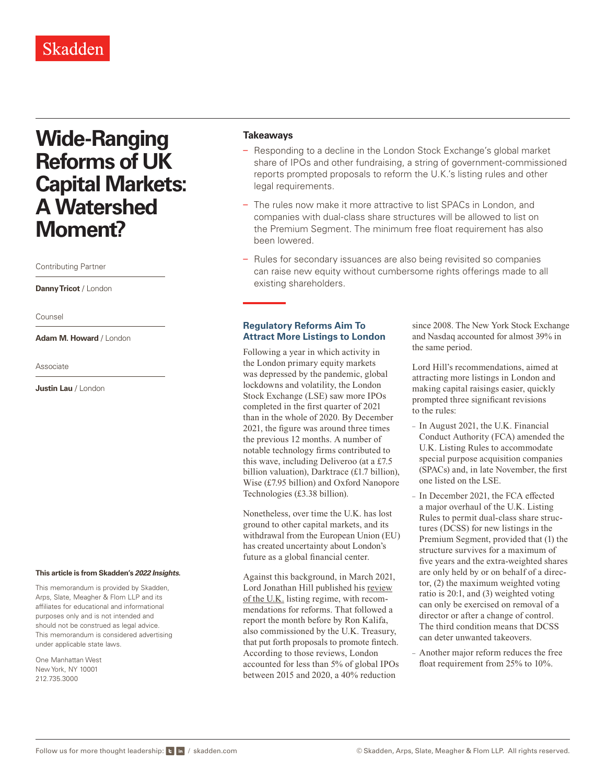## Skadden

# **Wide-Ranging Reforms of UK Capital Markets: A Watershed Moment?**

Contributing Partner

**Danny Tricot** / London

Counsel

**Adam M. Howard** / London

Associate

**Justin Lau** / London

#### **This article is from Skadden's** *[2022 Insights](https://www.skadden.com/insights/publications/2022/01/2022-insights/2022-insights)***.**

This memorandum is provided by Skadden, Arps, Slate, Meagher & Flom LLP and its affiliates for educational and informational purposes only and is not intended and should not be construed as legal advice. This memorandum is considered advertising under applicable state laws.

One Manhattan West New York, NY 10001 212.735.3000

#### **Takeaways**

- Responding to a decline in the London Stock Exchange's global market share of IPOs and other fundraising, a string of government-commissioned reports prompted proposals to reform the U.K.'s listing rules and other legal requirements.
- The rules now make it more attractive to list SPACs in London, and companies with dual-class share structures will be allowed to list on the Premium Segment. The minimum free float requirement has also been lowered.
- Rules for secondary issuances are also being revisited so companies can raise new equity without cumbersome rights offerings made to all existing shareholders.

### **Regulatory Reforms Aim To Attract More Listings to London**

Following a year in which activity in the London primary equity markets was depressed by the pandemic, global lockdowns and volatility, the London Stock Exchange (LSE) saw more IPOs completed in the first quarter of 2021 than in the whole of 2020. By December 2021, the figure was around three times the previous 12 months. A number of notable technology firms contributed to this wave, including Deliveroo (at a £7.5 billion valuation), Darktrace (£1.7 billion), Wise (£7.95 billion) and Oxford Nanopore Technologies (£3.38 billion).

Nonetheless, over time the U.K. has lost ground to other capital markets, and its withdrawal from the European Union (EU) has created uncertainty about London's future as a global financial center.

Against this background, in March 2021, Lord Jonathan Hill published his [review](https://www.skadden.com/-/media/files/publications/2022/01/2022-insights/review-of-the-uk-listing-regime.pdf) [of the U.K.](https://www.skadden.com/-/media/files/publications/2022/01/2022-insights/review-of-the-uk-listing-regime.pdf) listing regime, with recommendations for reforms. That followed a report the month before by Ron Kalifa, also commissioned by the U.K. Treasury, that put forth proposals to promote fintech. According to those reviews, London accounted for less than 5% of global IPOs between 2015 and 2020, a 40% reduction

since 2008. The New York Stock Exchange and Nasdaq accounted for almost 39% in the same period.

Lord Hill's recommendations, aimed at attracting more listings in London and making capital raisings easier, quickly prompted three significant revisions to the rules:

- In August 2021, the U.K. Financial Conduct Authority (FCA) amended the U.K. Listing Rules to accommodate special purpose acquisition companies (SPACs) and, in late November, the first one listed on the LSE.
- In December 2021, the FCA effected a major overhaul of the U.K. Listing Rules to permit dual-class share structures (DCSS) for new listings in the Premium Segment, provided that (1) the structure survives for a maximum of five years and the extra-weighted shares are only held by or on behalf of a director, (2) the maximum weighted voting ratio is 20:1, and (3) weighted voting can only be exercised on removal of a director or after a change of control. The third condition means that DCSS can deter unwanted takeovers.
- Another major reform reduces the free float requirement from 25% to 10%.